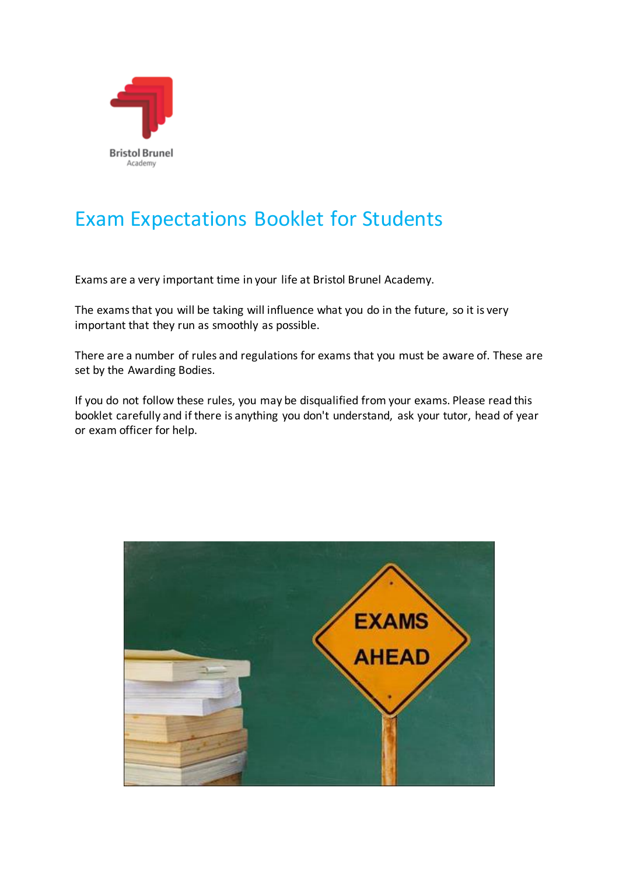

# Exam Expectations Booklet for Students

Exams are a very important time in your life at Bristol Brunel Academy.

The exams that you will be taking will influence what you do in the future, so it is very important that they run as smoothly as possible.

There are a number of rules and regulations for exams that you must be aware of. These are set by the Awarding Bodies.

If you do not follow these rules, you may be disqualified from your exams. Please read this booklet carefully and if there is anything you don't understand, ask your tutor, head of year or exam officer for help.

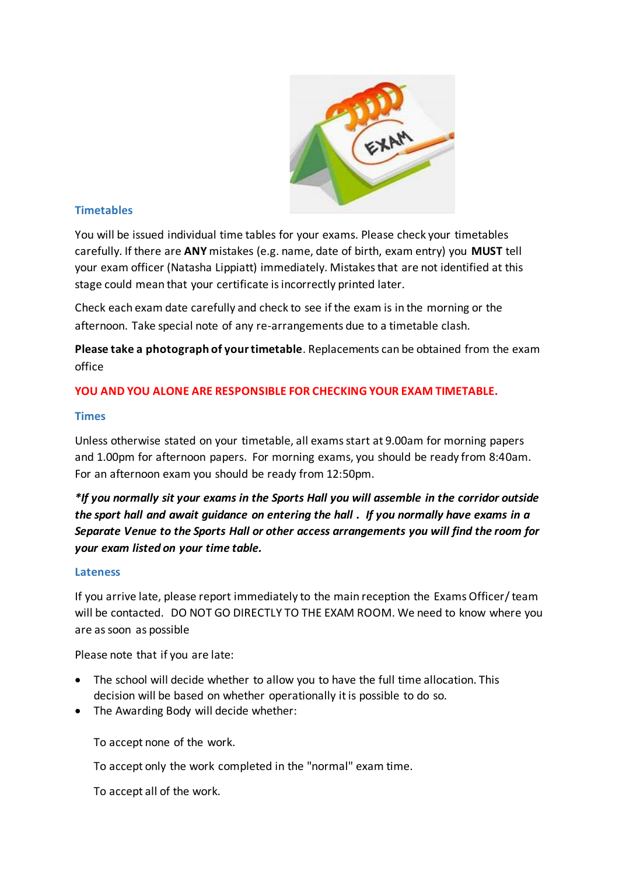

#### **Timetables**

You will be issued individual time tables for your exams. Please check your timetables carefully. If there are **ANY** mistakes (e.g. name, date of birth, exam entry) you **MUST** tell your exam officer (Natasha Lippiatt) immediately. Mistakes that are not identified at this stage could mean that your certificate is incorrectly printed later.

Check each exam date carefully and check to see if the exam is in the morning or the afternoon. Take special note of any re-arrangements due to a timetable clash.

**Please take a photograph of your timetable**. Replacements can be obtained from the exam office

## **YOU AND YOU ALONE ARE RESPONSIBLE FOR CHECKING YOUR EXAM TIMETABLE.**

#### **Times**

Unless otherwise stated on your timetable, all exams start at 9.00am for morning papers and 1.00pm for afternoon papers. For morning exams, you should be ready from 8:40am. For an afternoon exam you should be ready from 12:50pm.

*\*If you normally sit your exams in the Sports Hall you will assemble in the corridor outside the sport hall and await guidance on entering the hall . If you normally have exams in a Separate Venue to the Sports Hall or other access arrangements you will find the room for your exam listed on your time table.*

#### **Lateness**

If you arrive late, please report immediately to the main reception the Exams Officer/ team will be contacted. DO NOT GO DIRECTLY TO THE EXAM ROOM. We need to know where you are assoon as possible

Please note that if you are late:

- The school will decide whether to allow you to have the full time allocation. This decision will be based on whether operationally it is possible to do so.
- The Awarding Body will decide whether:

To accept none of the work.

To accept only the work completed in the "normal" exam time.

To accept all of the work.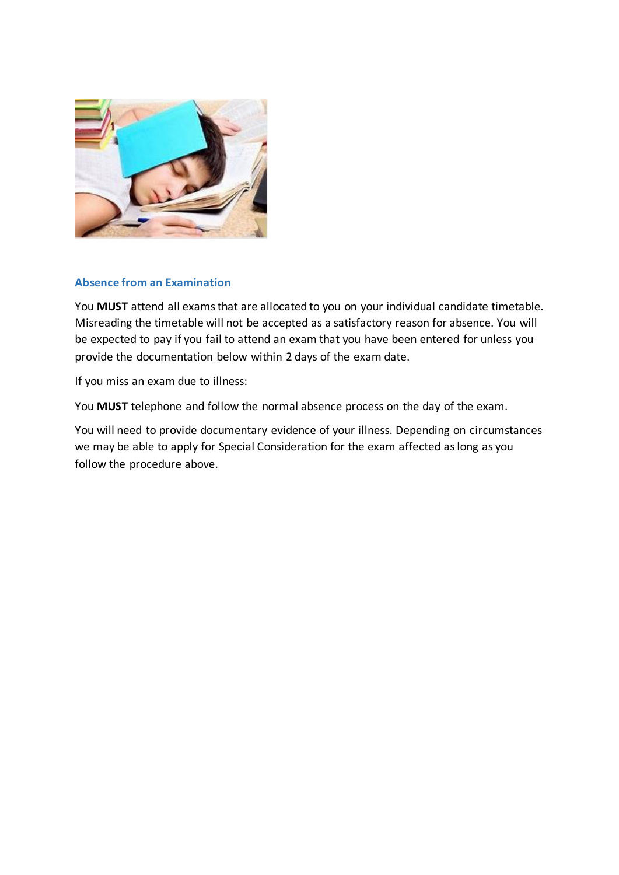

#### **Absence from an Examination**

You **MUST** attend all exams that are allocated to you on your individual candidate timetable. Misreading the timetable will not be accepted as a satisfactory reason for absence. You will be expected to pay if you fail to attend an exam that you have been entered for unless you provide the documentation below within 2 days of the exam date.

If you miss an exam due to illness:

You **MUST** telephone and follow the normal absence process on the day of the exam.

You will need to provide documentary evidence of your illness. Depending on circumstances we may be able to apply for Special Consideration for the exam affected as long as you follow the procedure above.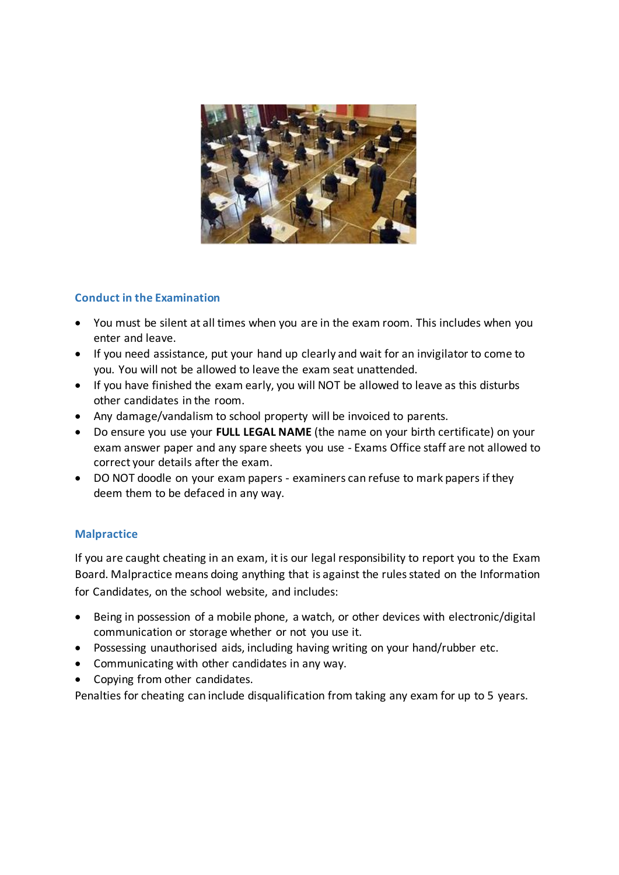

# **Conduct in the Examination**

- You must be silent at all times when you are in the exam room. This includes when you enter and leave.
- If you need assistance, put your hand up clearly and wait for an invigilator to come to you. You will not be allowed to leave the exam seat unattended.
- If you have finished the exam early, you will NOT be allowed to leave as this disturbs other candidates in the room.
- Any damage/vandalism to school property will be invoiced to parents.
- Do ensure you use your **FULL LEGAL NAME** (the name on your birth certificate) on your exam answer paper and any spare sheets you use - Exams Office staff are not allowed to correct your details after the exam.
- DO NOT doodle on your exam papers examiners can refuse to mark papers if they deem them to be defaced in any way.

#### **Malpractice**

If you are caught cheating in an exam, it is our legal responsibility to report you to the Exam Board. Malpractice means doing anything that is against the rules stated on the Information for Candidates, on the school website, and includes:

- Being in possession of a mobile phone, a watch, or other devices with electronic/digital communication or storage whether or not you use it.
- Possessing unauthorised aids, including having writing on your hand/rubber etc.
- Communicating with other candidates in any way.
- Copying from other candidates.

Penalties for cheating can include disqualification from taking any exam for up to 5 years.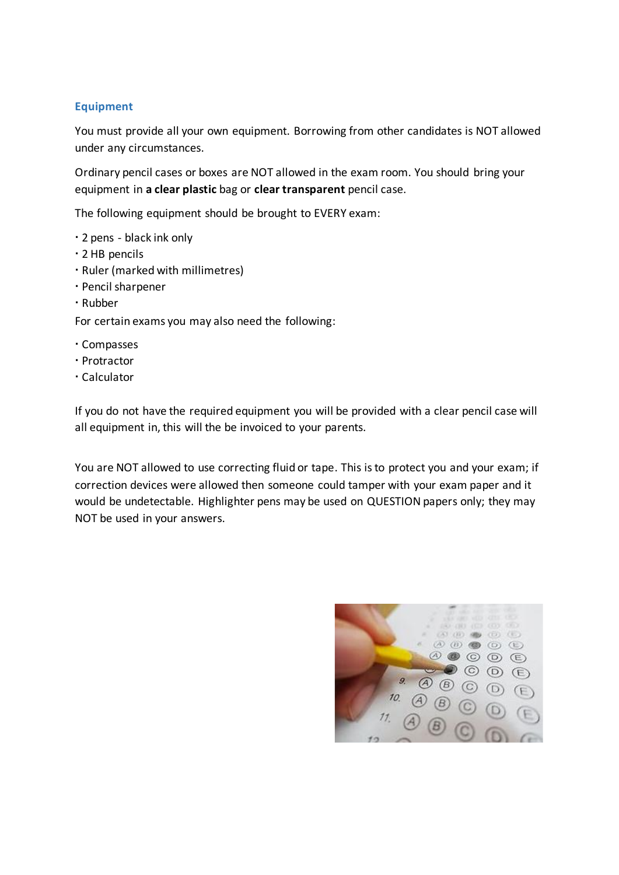### **Equipment**

You must provide all your own equipment. Borrowing from other candidates is NOT allowed under any circumstances.

Ordinary pencil cases or boxes are NOT allowed in the exam room. You should bring your equipment in **a clear plastic** bag or **clear transparent** pencil case.

The following equipment should be brought to EVERY exam:

- 2 pens black ink only
- 2 HB pencils
- Ruler (marked with millimetres)
- Pencil sharpener
- Rubber

For certain exams you may also need the following:

- Compasses
- Protractor
- Calculator

If you do not have the required equipment you will be provided with a clear pencil case will all equipment in, this will the be invoiced to your parents.

You are NOT allowed to use correcting fluid or tape. This is to protect you and your exam; if correction devices were allowed then someone could tamper with your exam paper and it would be undetectable. Highlighter pens may be used on QUESTION papers only; they may NOT be used in your answers.

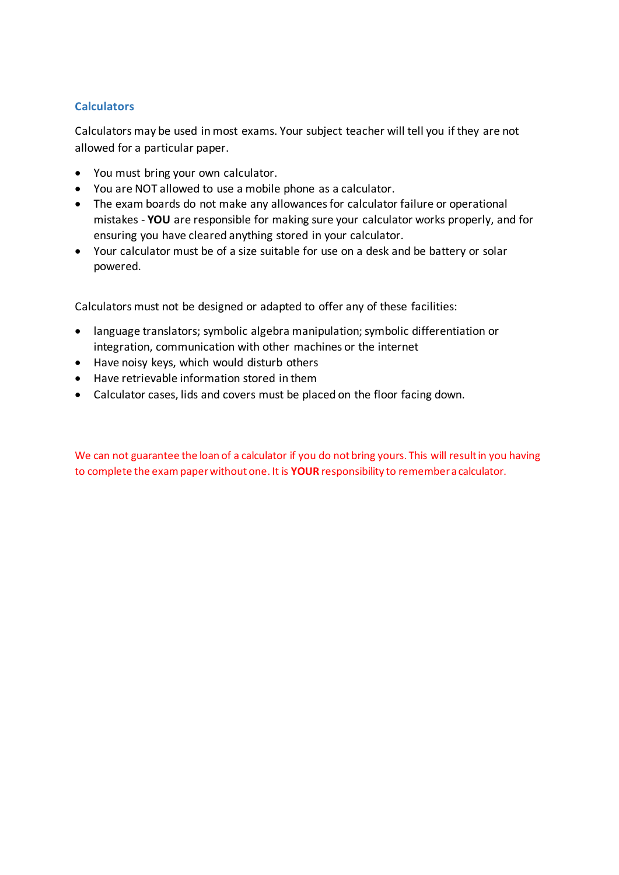### **Calculators**

Calculators may be used in most exams. Your subject teacher will tell you if they are not allowed for a particular paper.

- You must bring your own calculator.
- You are NOT allowed to use a mobile phone as a calculator.
- The exam boards do not make any allowances for calculator failure or operational mistakes - **YOU** are responsible for making sure your calculator works properly, and for ensuring you have cleared anything stored in your calculator.
- Your calculator must be of a size suitable for use on a desk and be battery or solar powered.

Calculators must not be designed or adapted to offer any of these facilities:

- language translators; symbolic algebra manipulation; symbolic differentiation or integration, communication with other machines or the internet
- Have noisy keys, which would disturb others
- Have retrievable information stored in them
- Calculator cases, lids and covers must be placed on the floor facing down.

We can not guarantee the loan of a calculator if you do not bring yours. This will result in you having to complete the exampaper without one. It is **YOUR** responsibility to remember a calculator.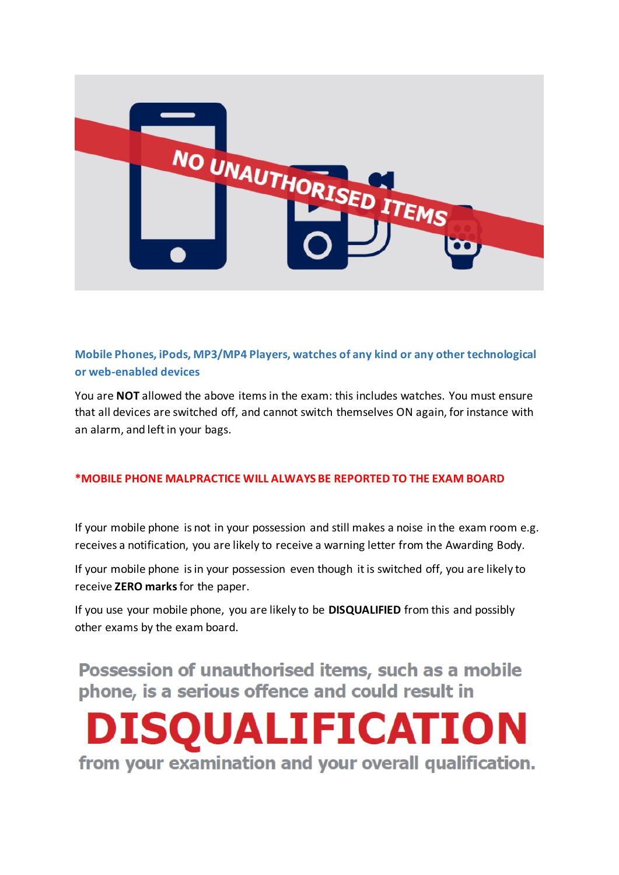

# **Mobile Phones, iPods, MP3/MP4 Players, watches of any kind or any other technological or web-enabled devices**

You are **NOT** allowed the above items in the exam: this includes watches. You must ensure that all devices are switched off, and cannot switch themselves ON again, for instance with an alarm, and left in your bags.

#### **\*MOBILE PHONE MALPRACTICE WILL ALWAYS BE REPORTED TO THE EXAM BOARD**

If your mobile phone is not in your possession and still makes a noise in the exam room e.g. receives a notification, you are likely to receive a warning letter from the Awarding Body.

If your mobile phone is in your possession even though it is switched off, you are likely to receive **ZERO marks**for the paper.

If you use your mobile phone, you are likely to be **DISQUALIFIED** from this and possibly other exams by the exam board.

Possession of unauthorised items, such as a mobile phone, is a serious offence and could result in

**DISOUALIFICATION** from your examination and your overall qualification.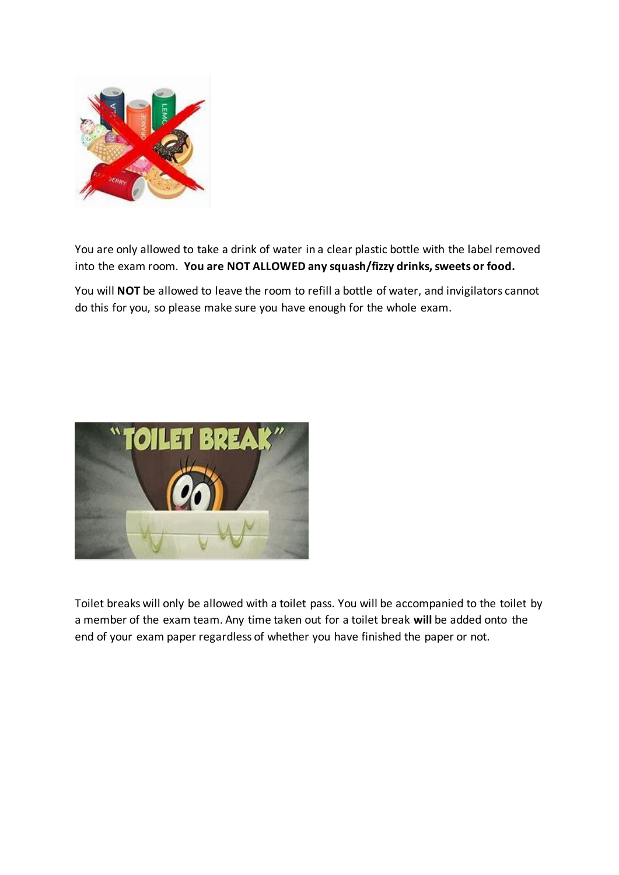

You are only allowed to take a drink of water in a clear plastic bottle with the label removed into the exam room. **You are NOT ALLOWED any squash/fizzy drinks, sweets or food.**

You will **NOT** be allowed to leave the room to refill a bottle of water, and invigilators cannot do this for you, so please make sure you have enough for the whole exam.



Toilet breaks will only be allowed with a toilet pass. You will be accompanied to the toilet by a member of the exam team. Any time taken out for a toilet break **will** be added onto the end of your exam paper regardless of whether you have finished the paper or not.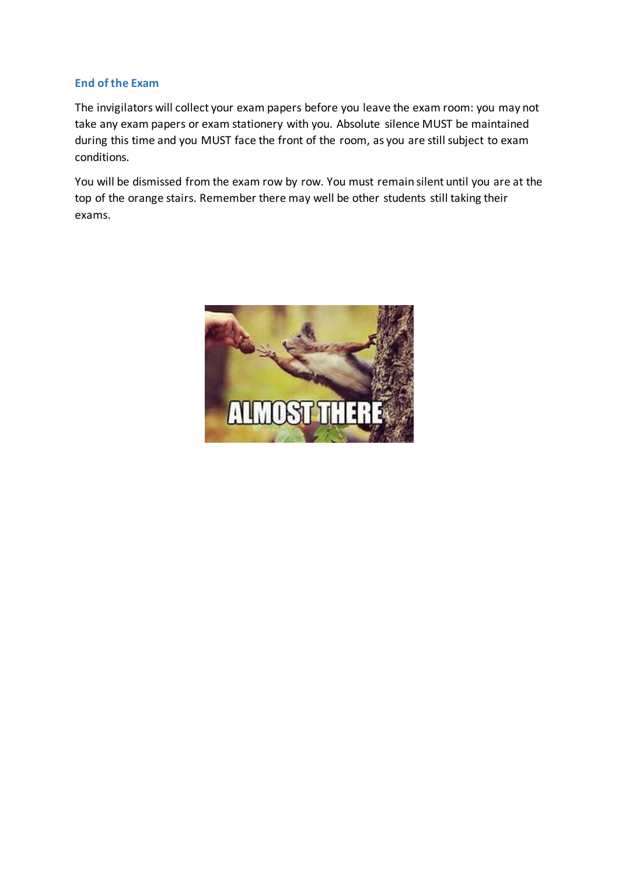### **End of the Exam**

The invigilators will collect your exam papers before you leave the exam room: you may not take any exam papers or exam stationery with you. Absolute silence MUST be maintained during this time and you MUST face the front of the room, as you are still subject to exam conditions.

You will be dismissed from the exam row by row. You must remain silent until you are at the top of the orange stairs. Remember there may well be other students still taking their exams.

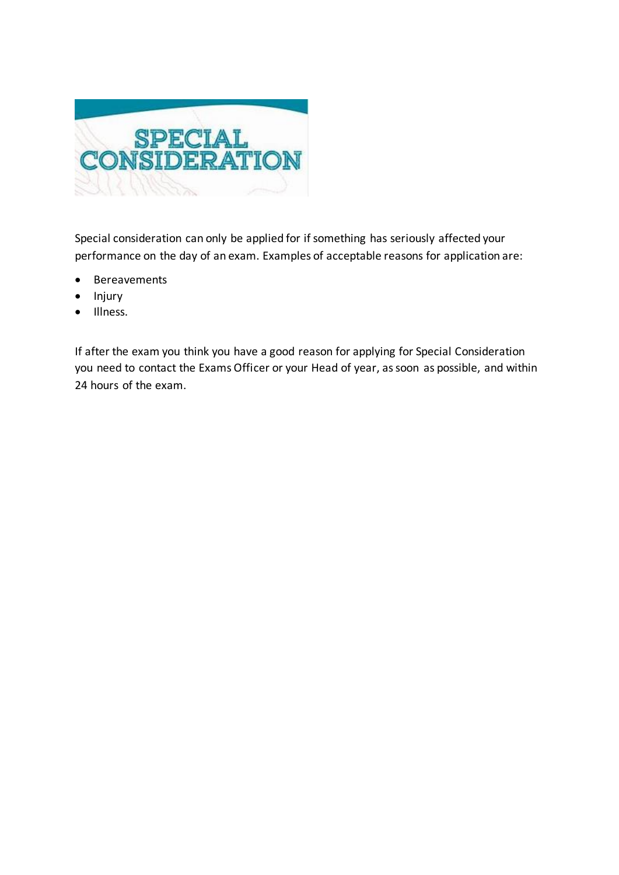

Special consideration can only be applied for if something has seriously affected your performance on the day of an exam. Examples of acceptable reasons for application are:

- Bereavements
- Injury
- Illness.

If after the exam you think you have a good reason for applying for Special Consideration you need to contact the Exams Officer or your Head of year, as soon as possible, and within 24 hours of the exam.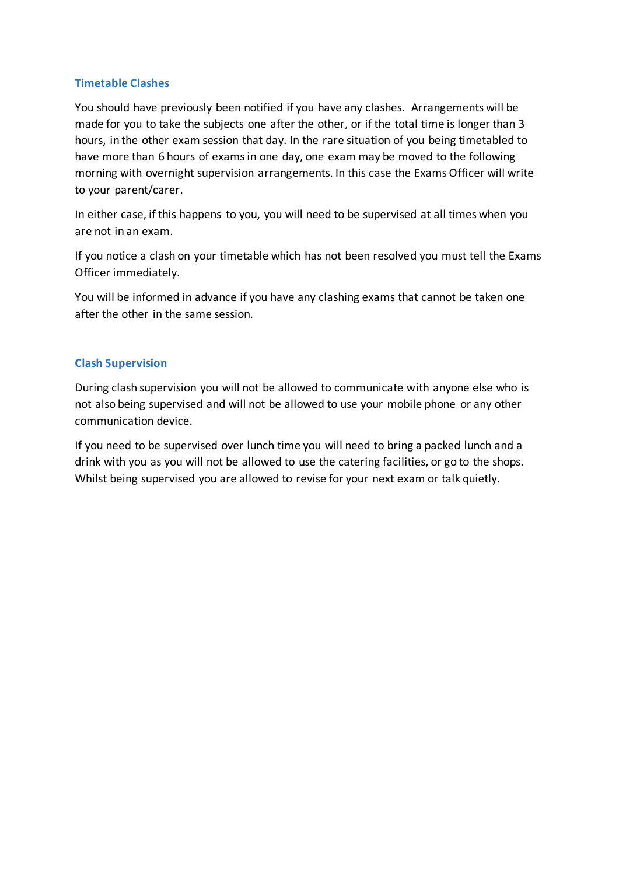#### **Timetable Clashes**

You should have previously been notified if you have any clashes. Arrangements will be made for you to take the subjects one after the other, or if the total time is longer than 3 hours, in the other exam session that day. In the rare situation of you being timetabled to have more than 6 hours of exams in one day, one exam may be moved to the following morning with overnight supervision arrangements. In this case the Exams Officer will write to your parent/carer.

In either case, if this happens to you, you will need to be supervised at all times when you are not in an exam.

If you notice a clash on your timetable which has not been resolved you must tell the Exams Officer immediately.

You will be informed in advance if you have any clashing exams that cannot be taken one after the other in the same session.

#### **Clash Supervision**

During clash supervision you will not be allowed to communicate with anyone else who is not also being supervised and will not be allowed to use your mobile phone or any other communication device.

If you need to be supervised over lunch time you will need to bring a packed lunch and a drink with you as you will not be allowed to use the catering facilities, or go to the shops. Whilst being supervised you are allowed to revise for your next exam or talk quietly.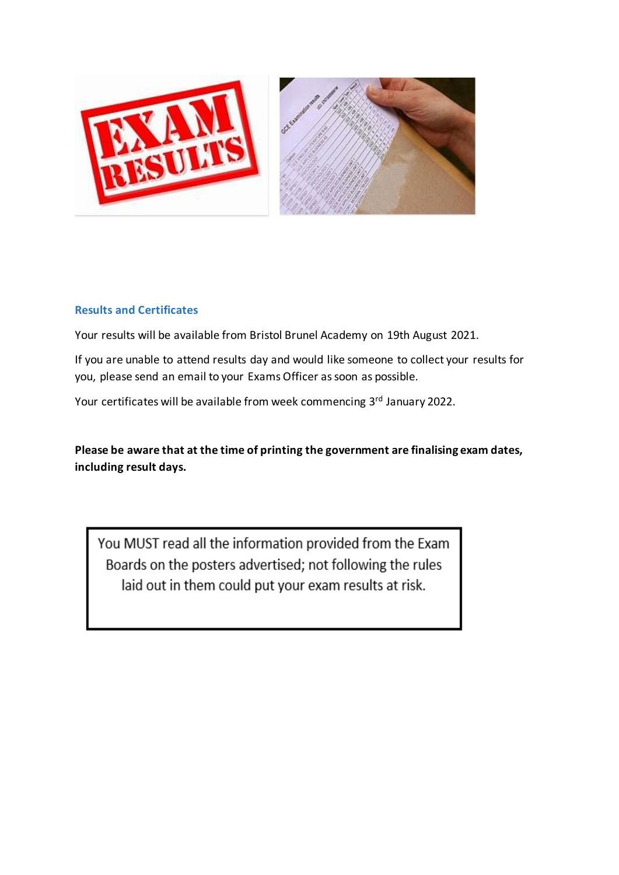

## **Results and Certificates**

Your results will be available from Bristol Brunel Academy on 19th August 2021.

If you are unable to attend results day and would like someone to collect your results for you, please send an email to your Exams Officer as soon as possible.

Your certificates will be available from week commencing 3<sup>rd</sup> January 2022.

**Please be aware that at the time of printing the government are finalising exam dates, including result days.**

You MUST read all the information provided from the Exam Boards on the posters advertised; not following the rules laid out in them could put your exam results at risk.